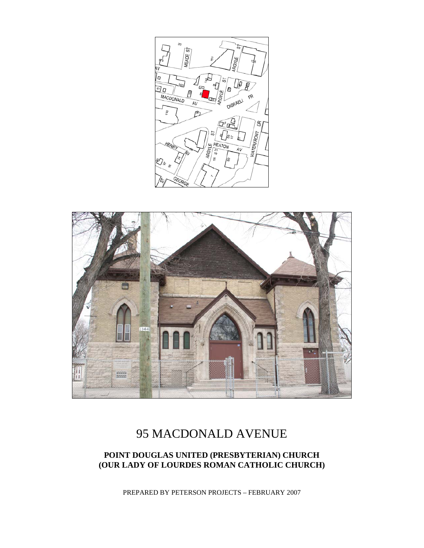



# 95 MACDONALD AVENUE

# **POINT DOUGLAS UNITED (PRESBYTERIAN) CHURCH (OUR LADY OF LOURDES ROMAN CATHOLIC CHURCH)**

PREPARED BY PETERSON PROJECTS – FEBRUARY 2007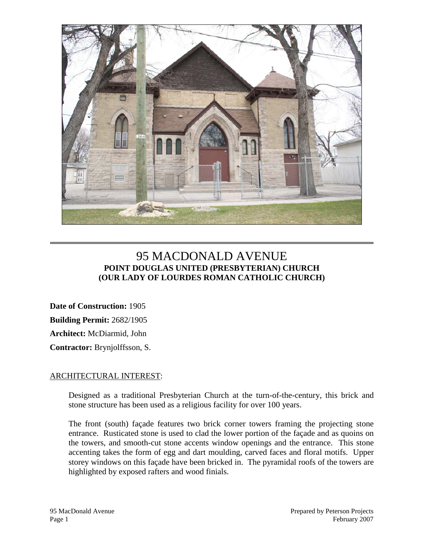

# 95 MACDONALD AVENUE **POINT DOUGLAS UNITED (PRESBYTERIAN) CHURCH (OUR LADY OF LOURDES ROMAN CATHOLIC CHURCH)**

**Date of Construction:** 1905 **Building Permit:** 2682/1905 **Architect:** McDiarmid, John **Contractor:** Brynjolffsson, S.

#### ARCHITECTURAL INTEREST:

Designed as a traditional Presbyterian Church at the turn-of-the-century, this brick and stone structure has been used as a religious facility for over 100 years.

The front (south) façade features two brick corner towers framing the projecting stone entrance. Rusticated stone is used to clad the lower portion of the façade and as quoins on the towers, and smooth-cut stone accents window openings and the entrance. This stone accenting takes the form of egg and dart moulding, carved faces and floral motifs. Upper storey windows on this façade have been bricked in. The pyramidal roofs of the towers are highlighted by exposed rafters and wood finials.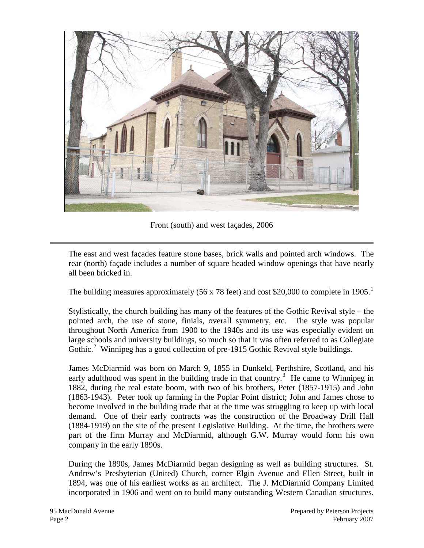

Front (south) and west façades, 2006

The east and west façades feature stone bases, brick walls and pointed arch windows. The rear (north) façade includes a number of square headed window openings that have nearly all been bricked in.

The building measures approximately (56 x 78 feet) and cost \$20,000 to complete in [1](#page-6-0)905.<sup>1</sup>

Stylistically, the church building has many of the features of the Gothic Revival style – the pointed arch, the use of stone, finials, overall symmetry, etc. The style was popular throughout North America from 1900 to the 1940s and its use was especially evident on large schools and university buildings, so much so that it was often referred to as Collegiate Gothic.<sup>[2](#page-6-1)</sup> Winnipeg has a good collection of pre-1915 Gothic Revival style buildings.

James McDiarmid was born on March 9, 1855 in Dunkeld, Perthshire, Scotland, and his early adulthood was spent in the building trade in that country.<sup>[3](#page-6-2)</sup> He came to Winnipeg in 1882, during the real estate boom, with two of his brothers, Peter (1857-1915) and John (1863-1943). Peter took up farming in the Poplar Point district; John and James chose to become involved in the building trade that at the time was struggling to keep up with local demand. One of their early contracts was the construction of the Broadway Drill Hall (1884-1919) on the site of the present Legislative Building. At the time, the brothers were part of the firm Murray and McDiarmid, although G.W. Murray would form his own company in the early 1890s.

During the 1890s, James McDiarmid began designing as well as building structures. St. Andrew's Presbyterian (United) Church, corner Elgin Avenue and Ellen Street, built in 1894, was one of his earliest works as an architect. The J. McDiarmid Company Limited incorporated in 1906 and went on to build many outstanding Western Canadian structures.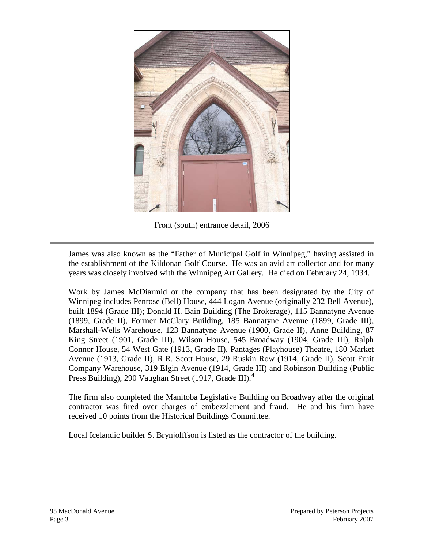

Front (south) entrance detail, 2006

James was also known as the "Father of Municipal Golf in Winnipeg," having assisted in the establishment of the Kildonan Golf Course. He was an avid art collector and for many years was closely involved with the Winnipeg Art Gallery. He died on February 24, 1934.

Work by James McDiarmid or the company that has been designated by the City of Winnipeg includes Penrose (Bell) House, 444 Logan Avenue (originally 232 Bell Avenue), built 1894 (Grade III); Donald H. Bain Building (The Brokerage), 115 Bannatyne Avenue (1899, Grade II), Former McClary Building, 185 Bannatyne Avenue (1899, Grade III), Marshall-Wells Warehouse, 123 Bannatyne Avenue (1900, Grade II), Anne Building, 87 King Street (1901, Grade III), Wilson House, 545 Broadway (1904, Grade III), Ralph Connor House, 54 West Gate (1913, Grade II), Pantages (Playhouse) Theatre, 180 Market Avenue (1913, Grade II), R.R. Scott House, 29 Ruskin Row (1914, Grade II), Scott Fruit Company Warehouse, 319 Elgin Avenue (1914, Grade III) and Robinson Building (Public Press Building), 290 Vaughan Street (1917, Grade III).<sup>[4](#page-6-3)</sup>

The firm also completed the Manitoba Legislative Building on Broadway after the original contractor was fired over charges of embezzlement and fraud. He and his firm have received 10 points from the Historical Buildings Committee.

Local Icelandic builder S. Brynjolffson is listed as the contractor of the building.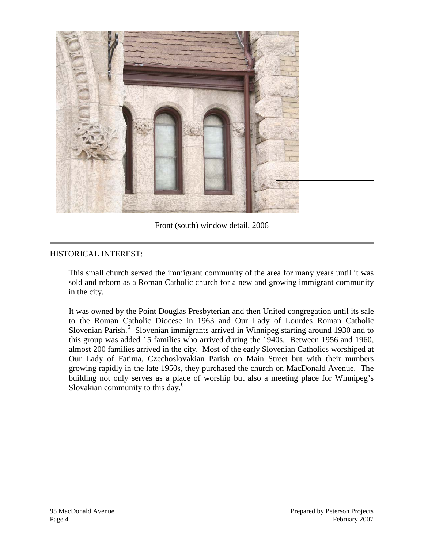

Front (south) window detail, 2006

## HISTORICAL INTEREST:

This small church served the immigrant community of the area for many years until it was sold and reborn as a Roman Catholic church for a new and growing immigrant community in the city.

It was owned by the Point Douglas Presbyterian and then United congregation until its sale to the Roman Catholic Diocese in 1963 and Our Lady of Lourdes Roman Catholic Slovenian Parish.<sup>[5](#page-6-4)</sup> Slovenian immigrants arrived in Winnipeg starting around 1930 and to this group was added 15 families who arrived during the 1940s. Between 1956 and 1960, almost 200 families arrived in the city. Most of the early Slovenian Catholics worshiped at Our Lady of Fatima, Czechoslovakian Parish on Main Street but with their numbers growing rapidly in the late 1950s, they purchased the church on MacDonald Avenue. The building not only serves as a place of worship but also a meeting place for Winnipeg's Slovakian community to this day.<sup>[6](#page-6-5)</sup>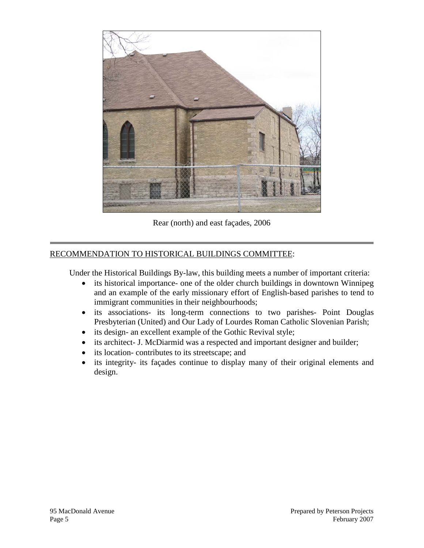

Rear (north) and east façades, 2006

# RECOMMENDATION TO HISTORICAL BUILDINGS COMMITTEE:

Under the Historical Buildings By-law, this building meets a number of important criteria:

- its historical importance- one of the older church buildings in downtown Winnipeg and an example of the early missionary effort of English-based parishes to tend to immigrant communities in their neighbourhoods;
- its associations- its long-term connections to two parishes- Point Douglas Presbyterian (United) and Our Lady of Lourdes Roman Catholic Slovenian Parish;
- its design- an excellent example of the Gothic Revival style;
- its architect- J. McDiarmid was a respected and important designer and builder;
- its location- contributes to its streetscape; and
- its integrity- its façades continue to display many of their original elements and design.